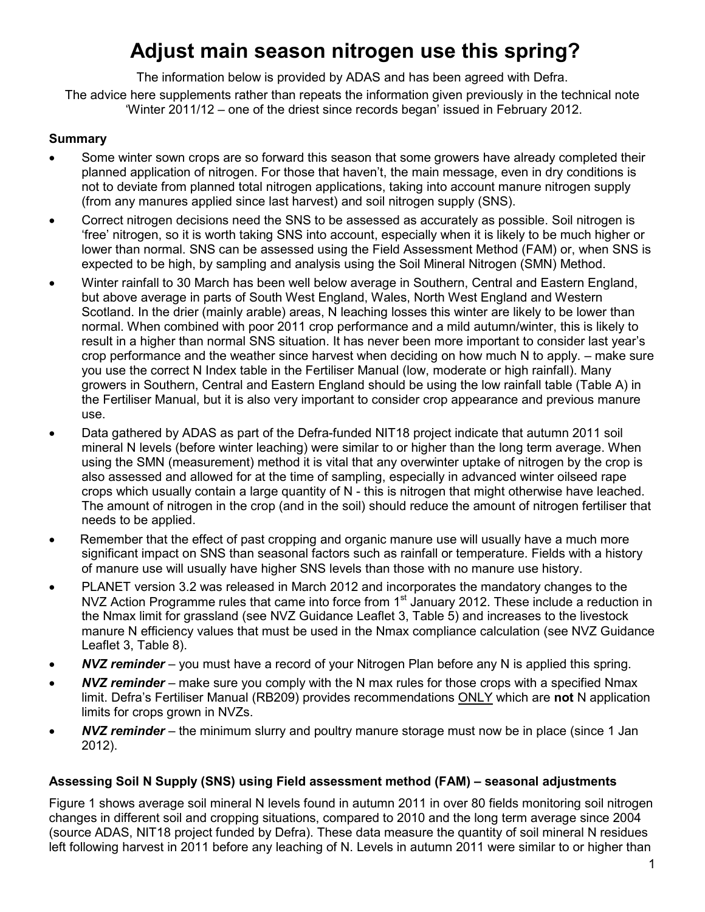# Adjust main season nitrogen use this spring?

The information below is provided by ADAS and has been agreed with Defra. The advice here supplements rather than repeats the information given previously in the technical note 'Winter 2011/12 – one of the driest since records began' issued in February 2012.

#### **Summary**

- Some winter sown crops are so forward this season that some growers have already completed their planned application of nitrogen. For those that haven't, the main message, even in dry conditions is not to deviate from planned total nitrogen applications, taking into account manure nitrogen supply (from any manures applied since last harvest) and soil nitrogen supply (SNS).
- Correct nitrogen decisions need the SNS to be assessed as accurately as possible. Soil nitrogen is 'free' nitrogen, so it is worth taking SNS into account, especially when it is likely to be much higher or lower than normal. SNS can be assessed using the Field Assessment Method (FAM) or, when SNS is expected to be high, by sampling and analysis using the Soil Mineral Nitrogen (SMN) Method.
- Winter rainfall to 30 March has been well below average in Southern, Central and Eastern England, but above average in parts of South West England, Wales, North West England and Western Scotland. In the drier (mainly arable) areas, N leaching losses this winter are likely to be lower than normal. When combined with poor 2011 crop performance and a mild autumn/winter, this is likely to result in a higher than normal SNS situation. It has never been more important to consider last year's crop performance and the weather since harvest when deciding on how much N to apply. – make sure you use the correct N Index table in the Fertiliser Manual (low, moderate or high rainfall). Many growers in Southern, Central and Eastern England should be using the low rainfall table (Table A) in the Fertiliser Manual, but it is also very important to consider crop appearance and previous manure use.
- Data gathered by ADAS as part of the Defra-funded NIT18 project indicate that autumn 2011 soil mineral N levels (before winter leaching) were similar to or higher than the long term average. When using the SMN (measurement) method it is vital that any overwinter uptake of nitrogen by the crop is also assessed and allowed for at the time of sampling, especially in advanced winter oilseed rape crops which usually contain a large quantity of N - this is nitrogen that might otherwise have leached. The amount of nitrogen in the crop (and in the soil) should reduce the amount of nitrogen fertiliser that needs to be applied.
- Remember that the effect of past cropping and organic manure use will usually have a much more significant impact on SNS than seasonal factors such as rainfall or temperature. Fields with a history of manure use will usually have higher SNS levels than those with no manure use history.
- PLANET version 3.2 was released in March 2012 and incorporates the mandatory changes to the NVZ Action Programme rules that came into force from 1<sup>st</sup> January 2012. These include a reduction in the Nmax limit for grassland (see NVZ Guidance Leaflet 3, Table 5) and increases to the livestock manure N efficiency values that must be used in the Nmax compliance calculation (see NVZ Guidance Leaflet 3, Table 8).
- NVZ reminder you must have a record of your Nitrogen Plan before any N is applied this spring.
- NVZ reminder make sure you comply with the N max rules for those crops with a specified Nmax limit. Defra's Fertiliser Manual (RB209) provides recommendations ONLY which are not N application limits for crops grown in NVZs.
- NVZ reminder the minimum slurry and poultry manure storage must now be in place (since 1 Jan 2012).

#### Assessing Soil N Supply (SNS) using Field assessment method (FAM) – seasonal adjustments

Figure 1 shows average soil mineral N levels found in autumn 2011 in over 80 fields monitoring soil nitrogen changes in different soil and cropping situations, compared to 2010 and the long term average since 2004 (source ADAS, NIT18 project funded by Defra). These data measure the quantity of soil mineral N residues left following harvest in 2011 before any leaching of N. Levels in autumn 2011 were similar to or higher than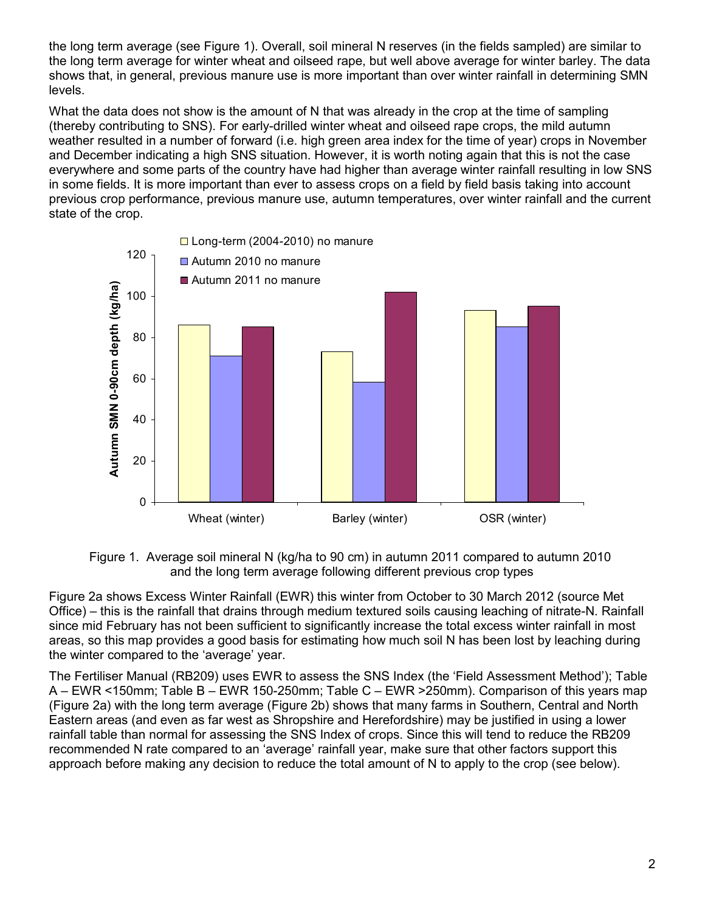the long term average (see Figure 1). Overall, soil mineral N reserves (in the fields sampled) are similar to the long term average for winter wheat and oilseed rape, but well above average for winter barley. The data shows that, in general, previous manure use is more important than over winter rainfall in determining SMN levels.

What the data does not show is the amount of N that was already in the crop at the time of sampling (thereby contributing to SNS). For early-drilled winter wheat and oilseed rape crops, the mild autumn weather resulted in a number of forward (i.e. high green area index for the time of year) crops in November and December indicating a high SNS situation. However, it is worth noting again that this is not the case everywhere and some parts of the country have had higher than average winter rainfall resulting in low SNS in some fields. It is more important than ever to assess crops on a field by field basis taking into account previous crop performance, previous manure use, autumn temperatures, over winter rainfall and the current state of the crop.



Figure 1. Average soil mineral N (kg/ha to 90 cm) in autumn 2011 compared to autumn 2010 and the long term average following different previous crop types

Figure 2a shows Excess Winter Rainfall (EWR) this winter from October to 30 March 2012 (source Met Office) – this is the rainfall that drains through medium textured soils causing leaching of nitrate-N. Rainfall since mid February has not been sufficient to significantly increase the total excess winter rainfall in most areas, so this map provides a good basis for estimating how much soil N has been lost by leaching during the winter compared to the 'average' year.

The Fertiliser Manual (RB209) uses EWR to assess the SNS Index (the 'Field Assessment Method'); Table A – EWR <150mm; Table B – EWR 150-250mm; Table C – EWR >250mm). Comparison of this years map (Figure 2a) with the long term average (Figure 2b) shows that many farms in Southern, Central and North Eastern areas (and even as far west as Shropshire and Herefordshire) may be justified in using a lower rainfall table than normal for assessing the SNS Index of crops. Since this will tend to reduce the RB209 recommended N rate compared to an 'average' rainfall year, make sure that other factors support this approach before making any decision to reduce the total amount of N to apply to the crop (see below).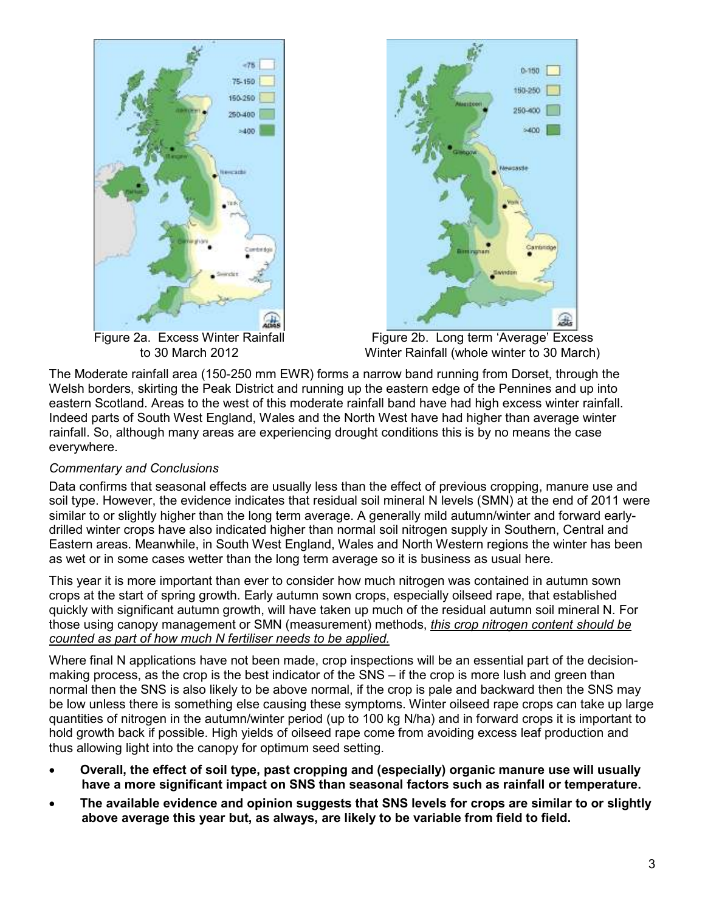

to 30 March 2012



Figure 2b. Long term 'Average' Excess Winter Rainfall (whole winter to 30 March)

The Moderate rainfall area (150-250 mm EWR) forms a narrow band running from Dorset, through the Welsh borders, skirting the Peak District and running up the eastern edge of the Pennines and up into eastern Scotland. Areas to the west of this moderate rainfall band have had high excess winter rainfall. Indeed parts of South West England, Wales and the North West have had higher than average winter rainfall. So, although many areas are experiencing drought conditions this is by no means the case everywhere.

## Commentary and Conclusions

Data confirms that seasonal effects are usually less than the effect of previous cropping, manure use and soil type. However, the evidence indicates that residual soil mineral N levels (SMN) at the end of 2011 were similar to or slightly higher than the long term average. A generally mild autumn/winter and forward earlydrilled winter crops have also indicated higher than normal soil nitrogen supply in Southern, Central and Eastern areas. Meanwhile, in South West England, Wales and North Western regions the winter has been as wet or in some cases wetter than the long term average so it is business as usual here.

This year it is more important than ever to consider how much nitrogen was contained in autumn sown crops at the start of spring growth. Early autumn sown crops, especially oilseed rape, that established quickly with significant autumn growth, will have taken up much of the residual autumn soil mineral N. For those using canopy management or SMN (measurement) methods, this crop nitrogen content should be counted as part of how much N fertiliser needs to be applied.

Where final N applications have not been made, crop inspections will be an essential part of the decisionmaking process, as the crop is the best indicator of the SNS – if the crop is more lush and green than normal then the SNS is also likely to be above normal, if the crop is pale and backward then the SNS may be low unless there is something else causing these symptoms. Winter oilseed rape crops can take up large quantities of nitrogen in the autumn/winter period (up to 100 kg N/ha) and in forward crops it is important to hold growth back if possible. High yields of oilseed rape come from avoiding excess leaf production and thus allowing light into the canopy for optimum seed setting.

- Overall, the effect of soil type, past cropping and (especially) organic manure use will usually have a more significant impact on SNS than seasonal factors such as rainfall or temperature.
- The available evidence and opinion suggests that SNS levels for crops are similar to or slightly above average this year but, as always, are likely to be variable from field to field.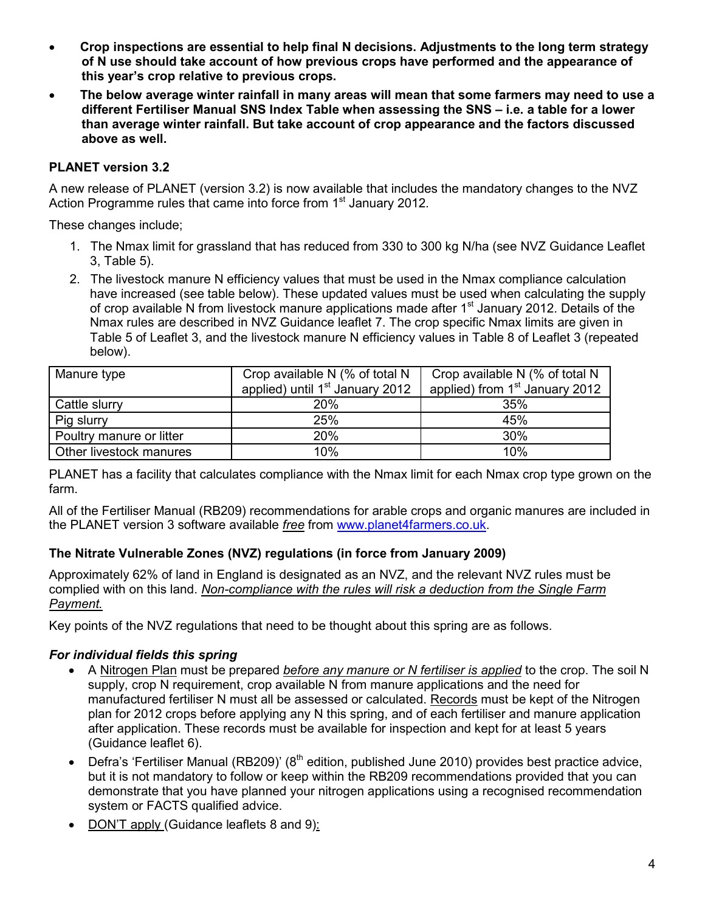- Crop inspections are essential to help final N decisions. Adjustments to the long term strategy of N use should take account of how previous crops have performed and the appearance of this year's crop relative to previous crops.
- The below average winter rainfall in many areas will mean that some farmers may need to use a different Fertiliser Manual SNS Index Table when assessing the SNS – i.e. a table for a lower than average winter rainfall. But take account of crop appearance and the factors discussed above as well.

### PLANET version 3.2

A new release of PLANET (version 3.2) is now available that includes the mandatory changes to the NVZ Action Programme rules that came into force from 1<sup>st</sup> January 2012.

These changes include;

- 1. The Nmax limit for grassland that has reduced from 330 to 300 kg N/ha (see NVZ Guidance Leaflet 3, Table 5).
- 2. The livestock manure N efficiency values that must be used in the Nmax compliance calculation have increased (see table below). These updated values must be used when calculating the supply of crop available N from livestock manure applications made after  $1<sup>st</sup>$  January 2012. Details of the Nmax rules are described in NVZ Guidance leaflet 7. The crop specific Nmax limits are given in Table 5 of Leaflet 3, and the livestock manure N efficiency values in Table 8 of Leaflet 3 (repeated below).

| Manure type              | Crop available N (% of total N<br>applied) until 1 <sup>st</sup> January 2012 | Crop available N (% of total N<br>applied) from 1 <sup>st</sup> January 2012 |
|--------------------------|-------------------------------------------------------------------------------|------------------------------------------------------------------------------|
| Cattle slurry            | <b>20%</b>                                                                    | 35%                                                                          |
| Pig slurry               | 25%                                                                           | 45%                                                                          |
| Poultry manure or litter | 20%                                                                           | 30%                                                                          |
| Other livestock manures  | 10%                                                                           | 10%                                                                          |

PLANET has a facility that calculates compliance with the Nmax limit for each Nmax crop type grown on the farm.

All of the Fertiliser Manual (RB209) recommendations for arable crops and organic manures are included in the PLANET version 3 software available free from www.planet4farmers.co.uk.

## The Nitrate Vulnerable Zones (NVZ) regulations (in force from January 2009)

Approximately 62% of land in England is designated as an NVZ, and the relevant NVZ rules must be complied with on this land. Non-compliance with the rules will risk a deduction from the Single Farm Payment.

Key points of the NVZ regulations that need to be thought about this spring are as follows.

#### For individual fields this spring

- A Nitrogen Plan must be prepared before any manure or N fertiliser is applied to the crop. The soil N supply, crop N requirement, crop available N from manure applications and the need for manufactured fertiliser N must all be assessed or calculated. Records must be kept of the Nitrogen plan for 2012 crops before applying any N this spring, and of each fertiliser and manure application after application. These records must be available for inspection and kept for at least 5 years (Guidance leaflet 6).
- Defra's 'Fertiliser Manual (RB209)' (8<sup>th</sup> edition, published June 2010) provides best practice advice, but it is not mandatory to follow or keep within the RB209 recommendations provided that you can demonstrate that you have planned your nitrogen applications using a recognised recommendation system or FACTS qualified advice.
- DON'T apply (Guidance leaflets 8 and 9):